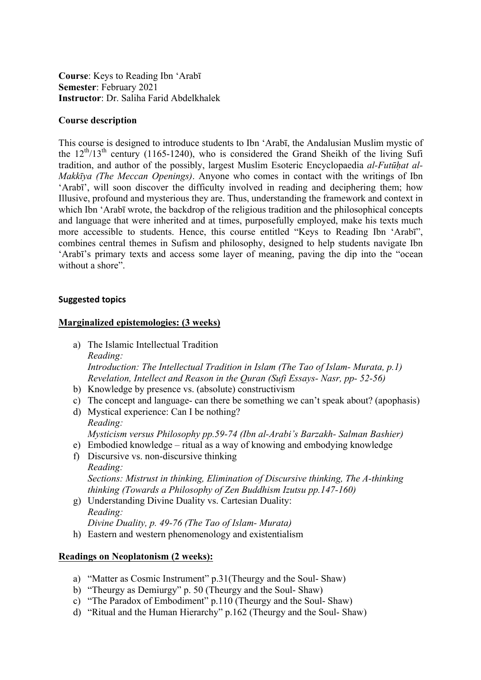**Course**: Keys to Reading Ibn 'Arabī **Semester**: February 2021 **Instructor**: Dr. Saliha Farid Abdelkhalek

#### **Course description**

This course is designed to introduce students to Ibn 'Arabī, the Andalusian Muslim mystic of the  $12<sup>th</sup>/13<sup>th</sup>$  century (1165-1240), who is considered the Grand Sheikh of the living Sufi tradition, and author of the possibly, largest Muslim Esoteric Encyclopaedia *al-Futūḥat al-Makkīya (The Meccan Openings)*. Anyone who comes in contact with the writings of Ibn 'Arabī', will soon discover the difficulty involved in reading and deciphering them; how Illusive, profound and mysterious they are. Thus, understanding the framework and context in which Ibn 'Arabī wrote, the backdrop of the religious tradition and the philosophical concepts and language that were inherited and at times, purposefully employed, make his texts much more accessible to students. Hence, this course entitled "Keys to Reading Ibn 'Arabī", combines central themes in Sufism and philosophy, designed to help students navigate Ibn 'Arabī's primary texts and access some layer of meaning, paving the dip into the "ocean without a shore".

#### **Suggested topics**

# **Marginalized epistemologies: (3 weeks)**

a) The Islamic Intellectual Tradition *Reading: Introduction: The Intellectual Tradition in Islam (The Tao of Islam- Murata, p.1) Revelation, Intellect and Reason in the Quran (Sufi Essays- Nasr, pp- 52-56)*

- b) Knowledge by presence vs. (absolute) constructivism
- c) The concept and language- can there be something we can't speak about? (apophasis)
- d) Mystical experience: Can I be nothing? *Reading: Mysticism versus Philosophy pp.59-74 (Ibn al-Arabi's Barzakh- Salman Bashier)*
- e) Embodied knowledge ritual as a way of knowing and embodying knowledge
- f) Discursive vs. non-discursive thinking *Reading: Sections: Mistrust in thinking, Elimination of Discursive thinking, The A-thinking thinking (Towards a Philosophy of Zen Buddhism Izutsu pp.147-160)*
- g) Understanding Divine Duality vs. Cartesian Duality: *Reading: Divine Duality, p. 49-76 (The Tao of Islam- Murata)*
- h) Eastern and western phenomenology and existentialism

# **Readings on Neoplatonism (2 weeks):**

- a) "Matter as Cosmic Instrument" p.31(Theurgy and the Soul- Shaw)
- b) "Theurgy as Demiurgy" p. 50 (Theurgy and the Soul- Shaw)
- c) "The Paradox of Embodiment" p.110 (Theurgy and the Soul- Shaw)
- d) "Ritual and the Human Hierarchy" p.162 (Theurgy and the Soul- Shaw)